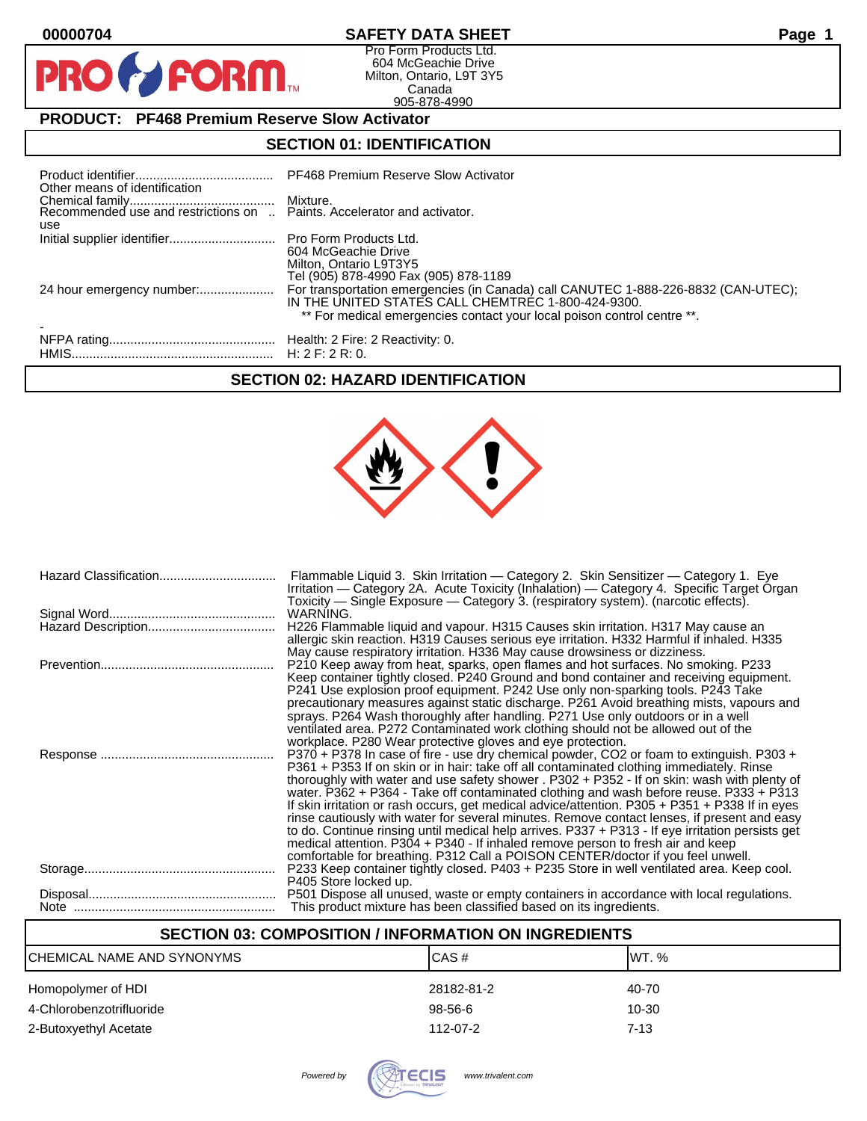$\mathbf O$ 

PR

# **00000704 SAFETY DATA SHEET Page 1**

Pro Form Products Ltd. 604 McGeachie Drive Milton, Ontario, L9T 3Y5 Canada 905-878-4990

# **PRODUCT: PF468 Premium Reserve Slow Activator**

**FORM.** 

# **SECTION 01: IDENTIFICATION**

| Other means of identification                                                  | PF468 Premium Reserve Slow Activator                                                                                                                                                                                |  |
|--------------------------------------------------------------------------------|---------------------------------------------------------------------------------------------------------------------------------------------------------------------------------------------------------------------|--|
| Recommended use and restrictions on  Paints. Accelerator and activator.<br>use |                                                                                                                                                                                                                     |  |
| Initial supplier identifier Pro Form Products Ltd.                             | 604 McGeachie Drive<br>Milton, Ontario L9T3Y5<br>Tel (905) 878-4990 Fax (905) 878-1189                                                                                                                              |  |
| 24 hour emergency number:                                                      | For transportation emergencies (in Canada) call CANUTEC 1-888-226-8832 (CAN-UTEC);<br>IN THE UNITED STATES CALL CHEMTREC 1-800-424-9300.<br>** For medical emergencies contact your local poison control centre **. |  |
|                                                                                |                                                                                                                                                                                                                     |  |

# **SECTION 02: HAZARD IDENTIFICATION**



| Flammable Liquid 3. Skin Irritation — Category 2. Skin Sensitizer — Category 1. Eye<br>Irritation — Category 2A. Acute Toxicity (Inhalation) — Category 4. Specific Target Organ<br>Toxicity — Single Exposure — Category 3. (respiratory system). (narcotic effects).                                                                                                                                                                                                                                                                                                                                                                                                                                                                                                                                                                                   |
|----------------------------------------------------------------------------------------------------------------------------------------------------------------------------------------------------------------------------------------------------------------------------------------------------------------------------------------------------------------------------------------------------------------------------------------------------------------------------------------------------------------------------------------------------------------------------------------------------------------------------------------------------------------------------------------------------------------------------------------------------------------------------------------------------------------------------------------------------------|
| WARNING.                                                                                                                                                                                                                                                                                                                                                                                                                                                                                                                                                                                                                                                                                                                                                                                                                                                 |
| H226 Flammable liquid and vapour. H315 Causes skin irritation. H317 May cause an<br>allergic skin reaction. H319 Causes serious eye irritation. H332 Harmful if inhaled. H335<br>May cause respiratory irritation. H336 May cause drowsiness or dizziness.                                                                                                                                                                                                                                                                                                                                                                                                                                                                                                                                                                                               |
| P210 Keep away from heat, sparks, open flames and hot surfaces. No smoking. P233<br>Keep container tightly closed. P240 Ground and bond container and receiving equipment.<br>P241 Use explosion proof equipment. P242 Use only non-sparking tools. P243 Take<br>precautionary measures against static discharge. P261 Avoid breathing mists, vapours and<br>sprays. P264 Wash thoroughly after handling. P271 Use only outdoors or in a well<br>ventilated area. P272 Contaminated work clothing should not be allowed out of the<br>workplace. P280 Wear protective gloves and eye protection.                                                                                                                                                                                                                                                         |
| P370 + P378 In case of fire - use dry chemical powder, CO2 or foam to extinguish. P303 +<br>P361 + P353 If on skin or in hair: take off all contaminated clothing immediately. Rinse<br>thoroughly with water and use safety shower . P302 + P352 - If on skin: wash with plenty of<br>water. P362 + P364 - Take off contaminated clothing and wash before reuse. P333 + P313<br>If skin irritation or rash occurs, get medical advice/attention. P305 + P351 + P338 If in eyes<br>rinse cautiously with water for several minutes. Remove contact lenses, if present and easy<br>to do. Continue rinsing until medical help arrives. P337 + P313 - If eye irritation persists get<br>medical attention. P304 + P340 - If inhaled remove person to fresh air and keep<br>comfortable for breathing. P312 Call a POISON CENTER/doctor if you feel unwell. |
| P233 Keep container tightly closed. P403 + P235 Store in well ventilated area. Keep cool.<br>P405 Store locked up.                                                                                                                                                                                                                                                                                                                                                                                                                                                                                                                                                                                                                                                                                                                                       |
| P501 Dispose all unused, waste or empty containers in accordance with local regulations.<br>This product mixture has been classified based on its ingredients.                                                                                                                                                                                                                                                                                                                                                                                                                                                                                                                                                                                                                                                                                           |

# **SECTION 03: COMPOSITION / INFORMATION ON INGREDIENTS**

| CHEMICAL NAME AND SYNONYMS | CAS#       | IWT. %   |
|----------------------------|------------|----------|
| Homopolymer of HDI         | 28182-81-2 | 40-70    |
| 4-Chlorobenzotrifluoride   | 98-56-6    | 10-30    |
| 2-Butoxyethyl Acetate      | 112-07-2   | $7 - 13$ |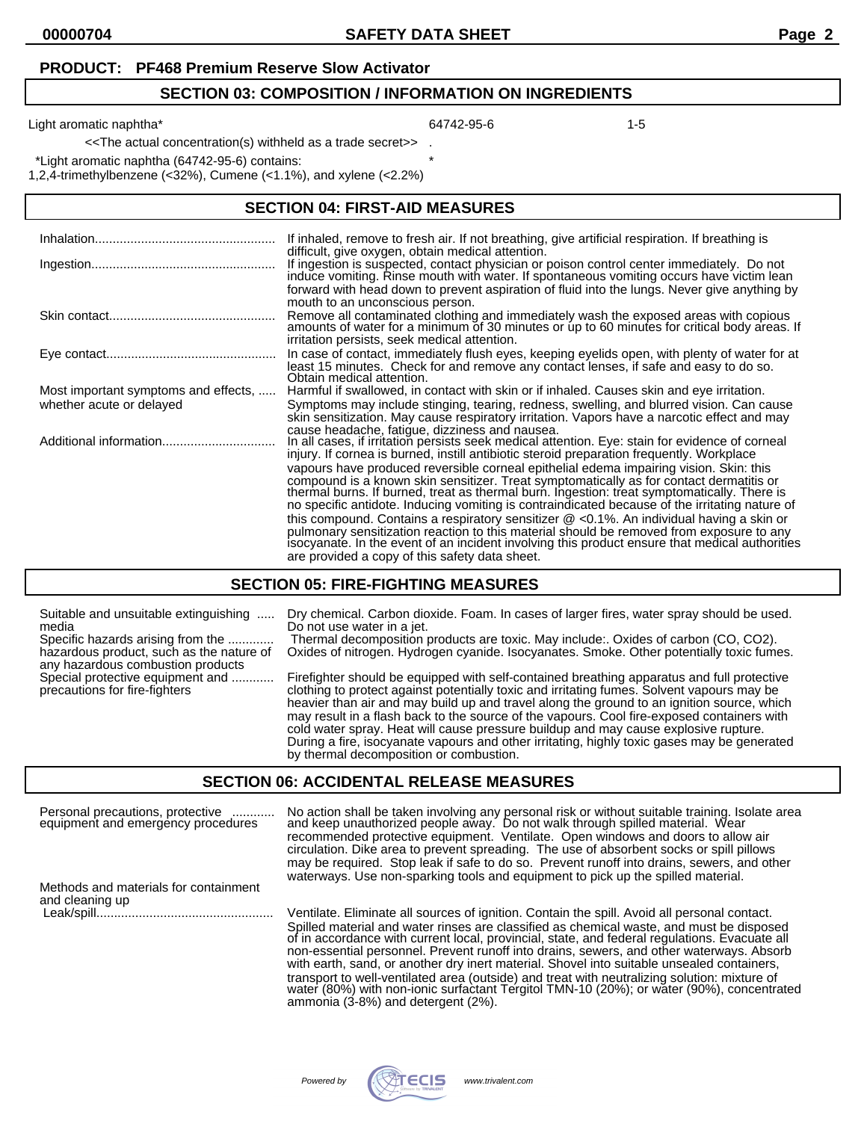#### **PRODUCT: PF468 Premium Reserve Slow Activator**

#### **SECTION 03: COMPOSITION / INFORMATION ON INGREDIENTS**

Light aromatic naphtha\* 1-5

<<The actual concentration(s) withheld as a trade secret>> .

\*Light aromatic naphtha (64742-95-6) contains: \*

1,2,4-trimethylbenzene (<32%), Cumene (<1.1%), and xylene (<2.2%)

### **SECTION 04: FIRST-AID MEASURES**

|                                      | If inhaled, remove to fresh air. If not breathing, give artificial respiration. If breathing is<br>difficult, give oxygen, obtain medical attention.                                                                                                                                                                                     |
|--------------------------------------|------------------------------------------------------------------------------------------------------------------------------------------------------------------------------------------------------------------------------------------------------------------------------------------------------------------------------------------|
|                                      | If ingestion is suspected, contact physician or poison control center immediately. Do not induce vomiting. Rinse mouth with water. If spontaneous vomiting occurs have victim lean                                                                                                                                                       |
|                                      | forward with head down to prevent aspiration of fluid into the lungs. Never give anything by<br>mouth to an unconscious person.                                                                                                                                                                                                          |
|                                      | Remove all contaminated clothing and immediately wash the exposed areas with copious<br>amounts of water for a minimum of 30 minutes or up to 60 minutes for critical body areas. If<br>irritation persists, seek medical attention.                                                                                                     |
|                                      | In case of contact, immediately flush eyes, keeping eyelids open, with plenty of water for at<br>least 15 minutes. Check for and remove any contact lenses, if safe and easy to do so.<br>Obtain medical attention.                                                                                                                      |
| Most important symptoms and effects, | Harmful if swallowed, in contact with skin or if inhaled. Causes skin and eye irritation.                                                                                                                                                                                                                                                |
| whether acute or delayed             | Symptoms may include stinging, tearing, redness, swelling, and blurred vision. Can cause<br>skin sensitization. May cause respiratory irritation. Vapors have a narcotic effect and may                                                                                                                                                  |
|                                      | cause headache, fatique, dizziness and nausea.<br>In all cases, if irritation persists seek medical attention. Eye: stain for evidence of corneal<br>injury. If cornea is burned, instill antibiotic steroid preparation frequently. Workplace                                                                                           |
|                                      | vapours have produced reversible corneal epithelial edema impairing vision. Skin: this<br>compound is a known skin sensitizer. Treat symptomatically as for contact dermatitis or<br>thermal burns. If burned, treat as thermal burn. Ingestion: treat symptomatically. There is                                                         |
|                                      | no specific antidote. Inducing vomiting is contraindicated because of the irritating nature of                                                                                                                                                                                                                                           |
|                                      | this compound. Contains a respiratory sensitizer @ <0.1%. An individual having a skin or<br>pulmonary sensitization reaction to this material should be removed from exposure to any<br>isocyanate. In the event of an incident involving this product ensure that medical authorities<br>are provided a copy of this safety data sheet. |

### **SECTION 05: FIRE-FIGHTING MEASURES**

| Suitable and unsuitable extinguishing                                                                  | Dry chemical. Carbon dioxide. Foam. In cases of larger fires, water spray should be used.                                                                                                                                                                                                                                                                                                                                                                                                                                                                                                                             |
|--------------------------------------------------------------------------------------------------------|-----------------------------------------------------------------------------------------------------------------------------------------------------------------------------------------------------------------------------------------------------------------------------------------------------------------------------------------------------------------------------------------------------------------------------------------------------------------------------------------------------------------------------------------------------------------------------------------------------------------------|
| media                                                                                                  | Do not use water in a jet.                                                                                                                                                                                                                                                                                                                                                                                                                                                                                                                                                                                            |
| Specific hazards arising from the                                                                      | Thermal decomposition products are toxic. May include:. Oxides of carbon (CO, CO2).                                                                                                                                                                                                                                                                                                                                                                                                                                                                                                                                   |
| hazardous product, such as the nature of                                                               | Oxides of nitrogen. Hydrogen cyanide. Isocyanates. Smoke. Other potentially toxic fumes.                                                                                                                                                                                                                                                                                                                                                                                                                                                                                                                              |
| any hazardous combustion products<br>Special protective equipment and<br>precautions for fire-fighters | Firefighter should be equipped with self-contained breathing apparatus and full protective<br>clothing to protect against potentially toxic and irritating fumes. Solvent vapours may be<br>heavier than air and may build up and travel along the ground to an ignition source, which<br>may result in a flash back to the source of the vapours. Cool fire-exposed containers with<br>cold water spray. Heat will cause pressure buildup and may cause explosive rupture.<br>During a fire, isocyanate vapours and other irritating, highly toxic gases may be generated<br>by thermal decomposition or combustion. |

#### **SECTION 06: ACCIDENTAL RELEASE MEASURES**

Personal precautions, protective ............ No action shall be taken involving any personal risk or without suitable training. Isolate area equipment and emergency procedures and keep unauthorized people away. Do not walk through spilled material. Wear recommended protective equipment. Ventilate. Open windows and doors to allow air circulation. Dike area to prevent spreading. The use of absorbent socks or spill pillows may be required. Stop leak if safe to do so. Prevent runoff into drains, sewers, and other waterways. Use non-sparking tools and equipment to pick up the spilled material. Methods and materials for containment and cleaning up

Ventilate. Eliminate all sources of ignition. Contain the spill. Avoid all personal contact. Spilled material and water rinses are classified as chemical waste, and must be disposed of in accordance with current local, provincial, state, and federal regulations. Evacuate all non-essential personnel. Prevent runoff into drains, sewers, and other waterways. Absorb with earth, sand, or another dry inert material. Shovel into suitable unsealed containers, transport to well-ventilated area (outside) and treat with neutralizing solution: mixture of water (80%) with non-ionic surfactant Tergitol TMN-10 (20%); or water (90%), concentrated ammonia (3-8%) and detergent (2%).

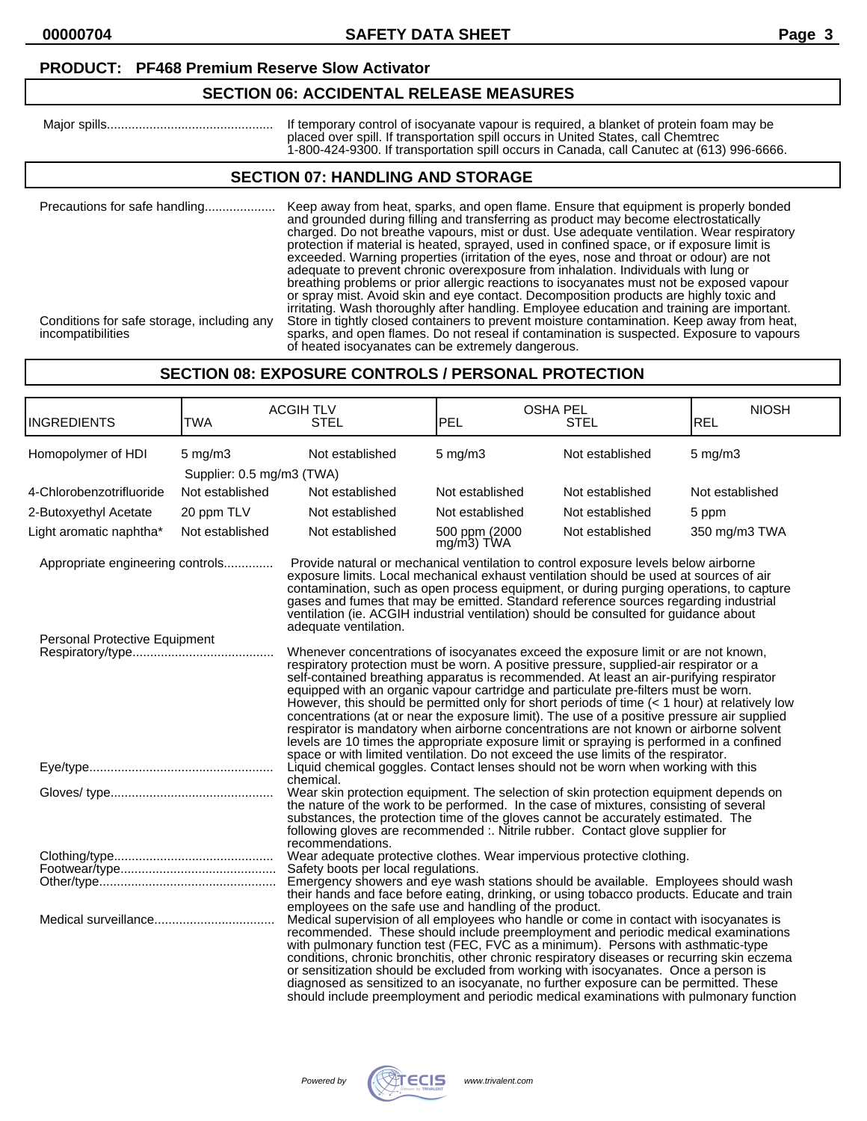### **PRODUCT: PF468 Premium Reserve Slow Activator**

# **SECTION 06: ACCIDENTAL RELEASE MEASURES**

| Maior spills | If temporary control of isocvanate vapour is required, a blanket of protein foam may be   |
|--------------|-------------------------------------------------------------------------------------------|
|              | placed over spill. If transportation spill occurs in United States. call Chemtrec         |
|              | 1-800-424-9300. If transportation spill occurs in Canada, call Canutec at (613) 996-6666. |

### **SECTION 07: HANDLING AND STORAGE**

| Precautions for safe handling<br>Conditions for safe storage, including any<br>incompatibilities | Keep away from heat, sparks, and open flame. Ensure that equipment is properly bonded<br>and grounded during filling and transferring as product may become electrostatically<br>charged. Do not breathe vapours, mist or dust. Use adequate ventilation. Wear respiratory<br>protection if material is heated, sprayed, used in confined space, or if exposure limit is<br>exceeded. Warning properties (irritation of the eyes, nose and throat or odour) are not<br>adequate to prevent chronic overexposure from inhalation. Individuals with lung or<br>breathing problems or prior allergic reactions to isocyanates must not be exposed vapour<br>or spray mist. Avoid skin and eye contact. Decomposition products are highly toxic and<br>irritating. Wash thoroughly after handling. Employee education and training are important.<br>Store in tightly closed containers to prevent moisture contamination. Keep away from heat,<br>sparks, and open flames. Do not reseal if contamination is suspected. Exposure to vapours |
|--------------------------------------------------------------------------------------------------|------------------------------------------------------------------------------------------------------------------------------------------------------------------------------------------------------------------------------------------------------------------------------------------------------------------------------------------------------------------------------------------------------------------------------------------------------------------------------------------------------------------------------------------------------------------------------------------------------------------------------------------------------------------------------------------------------------------------------------------------------------------------------------------------------------------------------------------------------------------------------------------------------------------------------------------------------------------------------------------------------------------------------------------|
|                                                                                                  | of heated isocyanates can be extremely dangerous.                                                                                                                                                                                                                                                                                                                                                                                                                                                                                                                                                                                                                                                                                                                                                                                                                                                                                                                                                                                        |

# **SECTION 08: EXPOSURE CONTROLS / PERSONAL PROTECTION**

| <b>INGREDIENTS</b>               | <b>TWA</b>                                    | <b>ACGIH TLV</b><br><b>STEL</b>                                                                                                                                                                                                                                                                                                                                                                                                                                                                                                                                                                                                                                                                                                                                                                                                                                                                                                                                                                                                                                                                                                                                                                                                                                                                                                                                                                       | <b>PEL</b>                     | <b>OSHA PEL</b><br><b>STEL</b> | <b>NIOSH</b><br><b>REL</b> |
|----------------------------------|-----------------------------------------------|-------------------------------------------------------------------------------------------------------------------------------------------------------------------------------------------------------------------------------------------------------------------------------------------------------------------------------------------------------------------------------------------------------------------------------------------------------------------------------------------------------------------------------------------------------------------------------------------------------------------------------------------------------------------------------------------------------------------------------------------------------------------------------------------------------------------------------------------------------------------------------------------------------------------------------------------------------------------------------------------------------------------------------------------------------------------------------------------------------------------------------------------------------------------------------------------------------------------------------------------------------------------------------------------------------------------------------------------------------------------------------------------------------|--------------------------------|--------------------------------|----------------------------|
| Homopolymer of HDI               | $5 \text{ mg/m}$<br>Supplier: 0.5 mg/m3 (TWA) | Not established                                                                                                                                                                                                                                                                                                                                                                                                                                                                                                                                                                                                                                                                                                                                                                                                                                                                                                                                                                                                                                                                                                                                                                                                                                                                                                                                                                                       | $5 \text{ mg/m}$               | Not established                | $5 \text{ mg/m}$           |
| 4-Chlorobenzotrifluoride         | Not established                               | Not established                                                                                                                                                                                                                                                                                                                                                                                                                                                                                                                                                                                                                                                                                                                                                                                                                                                                                                                                                                                                                                                                                                                                                                                                                                                                                                                                                                                       | Not established                | Not established                | Not established            |
| 2-Butoxyethyl Acetate            | 20 ppm TLV                                    | Not established                                                                                                                                                                                                                                                                                                                                                                                                                                                                                                                                                                                                                                                                                                                                                                                                                                                                                                                                                                                                                                                                                                                                                                                                                                                                                                                                                                                       | Not established                | Not established                | 5 ppm                      |
| Light aromatic naphtha*          | Not established                               | Not established                                                                                                                                                                                                                                                                                                                                                                                                                                                                                                                                                                                                                                                                                                                                                                                                                                                                                                                                                                                                                                                                                                                                                                                                                                                                                                                                                                                       | 500 ppm (2000<br>$mg/m3$ ) TWA | Not established                | 350 mg/m3 TWA              |
| Appropriate engineering controls |                                               | Provide natural or mechanical ventilation to control exposure levels below airborne<br>exposure limits. Local mechanical exhaust ventilation should be used at sources of air<br>contamination, such as open process equipment, or during purging operations, to capture<br>gases and fumes that may be emitted. Standard reference sources regarding industrial<br>ventilation (ie. ACGIH industrial ventilation) should be consulted for guidance about<br>adequate ventilation.                                                                                                                                                                                                                                                                                                                                                                                                                                                                                                                                                                                                                                                                                                                                                                                                                                                                                                                    |                                |                                |                            |
| Personal Protective Equipment    |                                               | Whenever concentrations of isocyanates exceed the exposure limit or are not known,<br>respiratory protection must be worn. A positive pressure, supplied-air respirator or a<br>self-contained breathing apparatus is recommended. At least an air-purifying respirator<br>equipped with an organic vapour cartridge and particulate pre-filters must be worn.<br>However, this should be permitted only for short periods of time (< 1 hour) at relatively low<br>concentrations (at or near the exposure limit). The use of a positive pressure air supplied<br>respirator is mandatory when airborne concentrations are not known or airborne solvent<br>levels are 10 times the appropriate exposure limit or spraying is performed in a confined<br>space or with limited ventilation. Do not exceed the use limits of the respirator.<br>Liquid chemical goggles. Contact lenses should not be worn when working with this<br>chemical.<br>Wear skin protection equipment. The selection of skin protection equipment depends on<br>the nature of the work to be performed. In the case of mixtures, consisting of several<br>substances, the protection time of the gloves cannot be accurately estimated. The<br>following gloves are recommended :. Nitrile rubber. Contact glove supplier for<br>recommendations.<br>Wear adequate protective clothes. Wear impervious protective clothing. |                                |                                |                            |
|                                  |                                               | Safety boots per local regulations.<br>Emergency showers and eye wash stations should be available. Employees should wash<br>their hands and face before eating, drinking, or using tobacco products. Educate and train<br>employees on the safe use and handling of the product.<br>Medical supervision of all employees who handle or come in contact with isocyanates is<br>recommended. These should include preemployment and periodic medical examinations<br>with pulmonary function test (FEC, FVC as a minimum). Persons with asthmatic-type<br>conditions, chronic bronchitis, other chronic respiratory diseases or recurring skin eczema<br>or sensitization should be excluded from working with isocyanates. Once a person is<br>diagnosed as sensitized to an isocyanate, no further exposure can be permitted. These<br>should include preemployment and periodic medical examinations with pulmonary function                                                                                                                                                                                                                                                                                                                                                                                                                                                                        |                                |                                |                            |

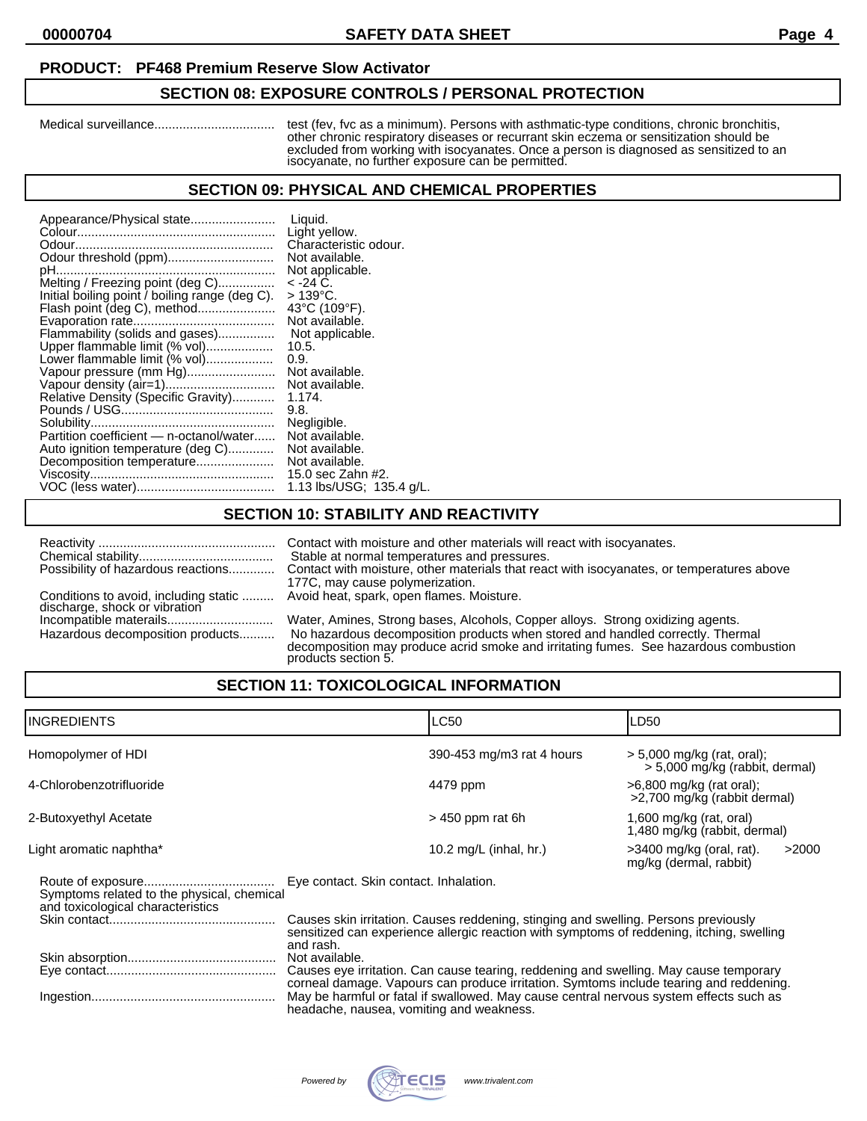### **PRODUCT: PF468 Premium Reserve Slow Activator**

#### **SECTION 08: EXPOSURE CONTROLS / PERSONAL PROTECTION**

Medical surveillance.................................. test (fev, fvc as a minimum). Persons with asthmatic-type conditions, chronic bronchitis, other chronic respiratory diseases or recurrant skin eczema or sensitization should be excluded from working with isocyanates. Once a person is diagnosed as sensitized to an isocyanate, no further exposure can be permitted.

#### **SECTION 09: PHYSICAL AND CHEMICAL PROPERTIES**

| Appearance/Physical state                      | Liquid.                  |
|------------------------------------------------|--------------------------|
|                                                | Light yellow.            |
|                                                | Characteristic odour.    |
| Odour threshold (ppm)                          | Not available.           |
|                                                | Not applicable.          |
| Melting / Freezing point (deg C)               | < -24 C.                 |
| Initial boiling point / boiling range (deg C). | > 139°C.                 |
|                                                | 43°C (109°F).            |
|                                                | Not available.           |
| Flammability (solids and gases)                | Not applicable.          |
| Upper flammable limit (% vol)                  | 10.5.                    |
| Lower flammable limit (% vol)                  | 0.9.                     |
| Vapour pressure (mm Hg)                        | Not available.           |
|                                                | Not available.           |
| Relative Density (Specific Gravity)            | 1.174.                   |
|                                                | 9.8.                     |
|                                                | Negligible.              |
| Partition coefficient - n-octanol/water        | Not available.           |
| Auto ignition temperature (deg C)              | Not available.           |
| Decomposition temperature                      | Not available.           |
|                                                | 15.0 sec Zahn #2.        |
|                                                | 1.13 lbs/USG; 135.4 g/L. |

# **SECTION 10: STABILITY AND REACTIVITY**

|                                       | Contact with moisture and other materials will react with isocyanates.                                                                                                                                                                                                          |
|---------------------------------------|---------------------------------------------------------------------------------------------------------------------------------------------------------------------------------------------------------------------------------------------------------------------------------|
|                                       | Stable at normal temperatures and pressures.                                                                                                                                                                                                                                    |
| Possibility of hazardous reactions    | Contact with moisture, other materials that react with isocyanates, or temperatures above                                                                                                                                                                                       |
| Conditions to avoid, including static | 177C, may cause polymerization.                                                                                                                                                                                                                                                 |
| discharge, shock or vibration         | Avoid heat, spark, open flames. Moisture.                                                                                                                                                                                                                                       |
| Hazardous decomposition products      | Water, Amines, Strong bases, Alcohols, Copper alloys. Strong oxidizing agents.<br>No hazardous decomposition products when stored and handled correctly. Thermal<br>decomposition may produce acrid smoke and irritating fumes. See hazardous combustion<br>products section 5. |
|                                       |                                                                                                                                                                                                                                                                                 |

# **SECTION 11: TOXICOLOGICAL INFORMATION**

| IINGREDIENTS                                                                    |                                        | <b>LC50</b>                                                                                                                                                                      | LD50                                                           |
|---------------------------------------------------------------------------------|----------------------------------------|----------------------------------------------------------------------------------------------------------------------------------------------------------------------------------|----------------------------------------------------------------|
| Homopolymer of HDI                                                              |                                        | 390-453 mg/m3 rat 4 hours                                                                                                                                                        | $>$ 5,000 mg/kg (rat, oral);<br>> 5,000 mg/kg (rabbit, dermal) |
| 4-Chlorobenzotrifluoride                                                        |                                        | 4479 ppm                                                                                                                                                                         | >6,800 mg/kg (rat oral);<br>>2,700 mg/kg (rabbit dermal)       |
| 2-Butoxyethyl Acetate                                                           |                                        | $>$ 450 ppm rat 6h                                                                                                                                                               | $1,600$ mg/kg (rat, oral)<br>1,480 mg/kg (rabbit, dermal)      |
| Light aromatic naphtha*                                                         |                                        | 10.2 mg/L (inhal, hr.)                                                                                                                                                           | $>3400$ mg/kg (oral, rat).<br>>2000<br>mg/kg (dermal, rabbit)  |
| Symptoms related to the physical, chemical<br>and toxicological characteristics | Eye contact. Skin contact. Inhalation. |                                                                                                                                                                                  |                                                                |
|                                                                                 | and rash.                              | Causes skin irritation. Causes reddening, stinging and swelling. Persons previously<br>sensitized can experience allergic reaction with symptoms of reddening, itching, swelling |                                                                |
|                                                                                 | Not available.                         | Causes eye irritation. Can cause tearing, reddening and swelling. May cause temporary<br>corneal damage. Vapours can produce irritation. Symtoms include tearing and reddening   |                                                                |

corneal damage. Vapours can produce irritation. Symtoms include tearing and reddening. Ingestion.................................................... May be harmful or fatal if swallowed. May cause central nervous system effects such as headache, nausea, vomiting and weakness.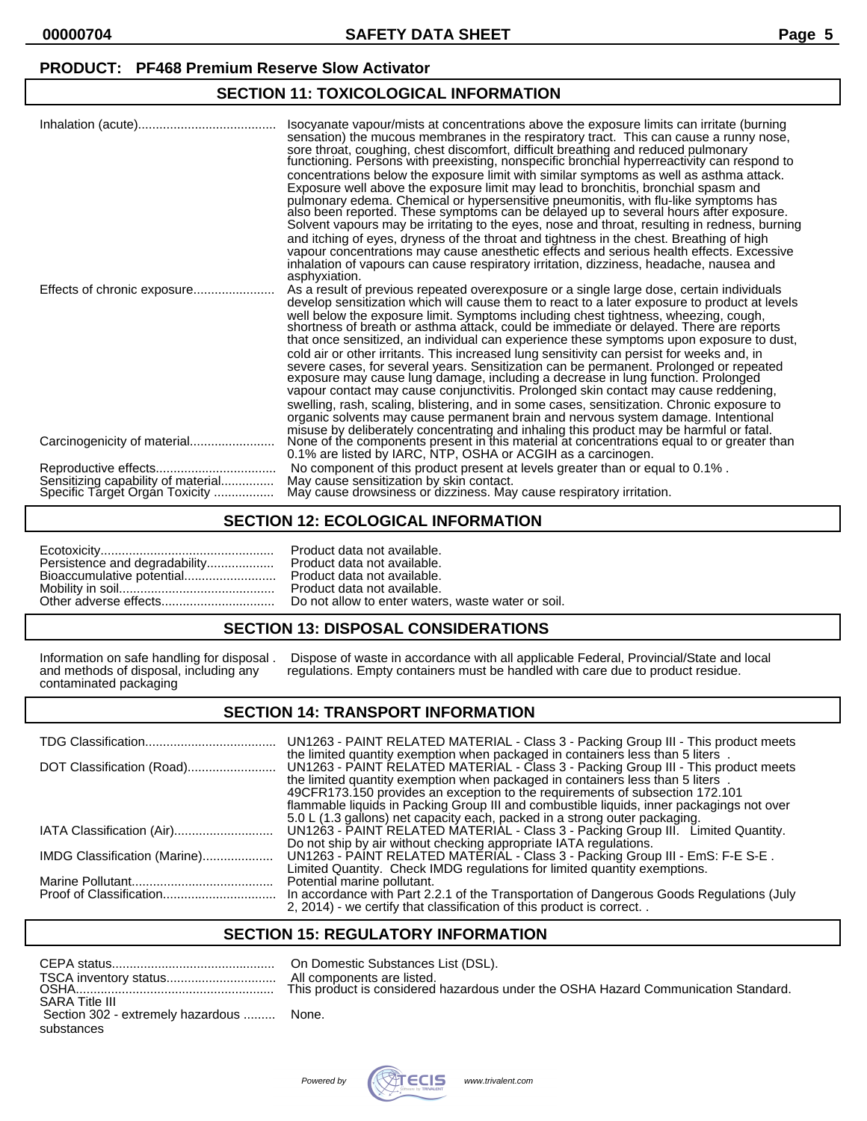#### **PRODUCT: PF468 Premium Reserve Slow Activator**

## **SECTION 11: TOXICOLOGICAL INFORMATION**

|                                                                      | Isocyanate vapour/mists at concentrations above the exposure limits can irritate (burning<br>sensation) the mucous membranes in the respiratory tract. This can cause a runny nose,<br>sore throat, coughing, chest discomfort, difficult breathing and reduced pulmonary<br>functioning. Persons with preexisting, nonspecific bronchial hyperreactivity can respond to<br>concentrations below the exposure limit with similar symptoms as well as asthma attack.<br>Exposure well above the exposure limit may lead to bronchitis, bronchial spasm and<br>pulmonary edema. Chemical or hypersensitive pneumonitis, with flu-like symptoms has<br>also been reported. These symptoms can be delayed up to several hours after exposure.<br>Solvent vapours may be irritating to the eyes, nose and throat, resulting in redness, burning<br>and itching of eyes, dryness of the throat and tightness in the chest. Breathing of high<br>vapour concentrations may cause anesthetic effects and serious health effects. Excessive<br>inhalation of vapours can cause respiratory irritation, dizziness, headache, nausea and<br>asphyxiation. |
|----------------------------------------------------------------------|------------------------------------------------------------------------------------------------------------------------------------------------------------------------------------------------------------------------------------------------------------------------------------------------------------------------------------------------------------------------------------------------------------------------------------------------------------------------------------------------------------------------------------------------------------------------------------------------------------------------------------------------------------------------------------------------------------------------------------------------------------------------------------------------------------------------------------------------------------------------------------------------------------------------------------------------------------------------------------------------------------------------------------------------------------------------------------------------------------------------------------------------|
| Effects of chronic exposure                                          | As a result of previous repeated overexposure or a single large dose, certain individuals<br>develop sensitization which will cause them to react to a later exposure to product at levels<br>well below the exposure limit. Symptoms including chest tightness, wheezing, cough,<br>shortness of breath or asthma attack, could be immediate or delayed. There are reports<br>that once sensitized, an individual can experience these symptoms upon exposure to dust,<br>cold air or other irritants. This increased lung sensitivity can persist for weeks and, in<br>severe cases, for several years. Sensitization can be permanent. Prolonged or repeated<br>exposure may cause lung damage, including a decrease in lung function. Prolonged<br>vapour contact may cause conjunctivitis. Prolonged skin contact may cause reddening,<br>swelling, rash, scaling, blistering, and in some cases, sensitization. Chronic exposure to<br>organic solvents may cause permanent brain and nervous system damage. Intentional                                                                                                                 |
|                                                                      | misuse by deliberately concentrating and inhaling this product may be harmful or fatal.<br>None of the components present in this material at concentrations equal to or greater than<br>0.1% are listed by IARC, NTP, OSHA or ACGIH as a carcinogen.                                                                                                                                                                                                                                                                                                                                                                                                                                                                                                                                                                                                                                                                                                                                                                                                                                                                                          |
| Sensitizing capability of material<br>Specific Target Organ Toxicity | No component of this product present at levels greater than or equal to 0.1%.<br>May cause sensitization by skin contact.<br>May cause drowsiness or dizziness. May cause respiratory irritation.                                                                                                                                                                                                                                                                                                                                                                                                                                                                                                                                                                                                                                                                                                                                                                                                                                                                                                                                              |

### **SECTION 12: ECOLOGICAL INFORMATION**

| Persistence and degradability |  |
|-------------------------------|--|
| Bioaccumulative potential     |  |
|                               |  |
|                               |  |

Product data not available. Product data not available. Product data not available. Product data not available. Do not allow to enter waters, waste water or soil.

#### **SECTION 13: DISPOSAL CONSIDERATIONS**

contaminated packaging

Information on safe handling for disposal . Dispose of waste in accordance with all applicable Federal, Provincial/State and local and methods of disposal, including any regulations. Empty containers must be handled with c regulations. Empty containers must be handled with care due to product residue.

#### **SECTION 14: TRANSPORT INFORMATION**

|                              | UN1263 - PAINT RELATED MATERIAL - Class 3 - Packing Group III - This product meets<br>the limited quantity exemption when packaged in containers less than 5 liters. |
|------------------------------|----------------------------------------------------------------------------------------------------------------------------------------------------------------------|
|                              | UN1263 - PAINT RELATED MATERIAL - Class 3 - Packing Group III - This product meets<br>the limited quantity exemption when packaged in containers less than 5 liters. |
|                              | 49CFR173.150 provides an exception to the requirements of subsection 172.101                                                                                         |
|                              | flammable liquids in Packing Group III and combustible liquids, inner packagings not over                                                                            |
|                              | 5.0 L (1.3 gallons) net capacity each, packed in a strong outer packaging.                                                                                           |
|                              | UN1263 - PAINT RELATED MATERIAL - Class 3 - Packing Group III. Limited Quantity.                                                                                     |
|                              | Do not ship by air without checking appropriate IATA regulations.                                                                                                    |
| IMDG Classification (Marine) | UN1263 - PAINT RELATED MATERIAL - Class 3 - Packing Group III - EmS: F-E S-E.                                                                                        |
|                              | Limited Quantity. Check IMDG regulations for limited quantity exemptions.                                                                                            |
|                              | Potential marine pollutant.                                                                                                                                          |
|                              | In accordance with Part 2.2.1 of the Transportation of Dangerous Goods Regulations (July                                                                             |
|                              | 2, 2014) - we certify that classification of this product is correct. .                                                                                              |

# **SECTION 15: REGULATORY INFORMATION**

|                                          | All con |
|------------------------------------------|---------|
| <b>SARA Title III</b>                    |         |
| Section 302 - extremely hazardous  None. |         |
| substances                               |         |

In Domestic Substances List (DSL). Il components are listed. his product is considered hazardous under the OSHA Hazard Communication Standard.